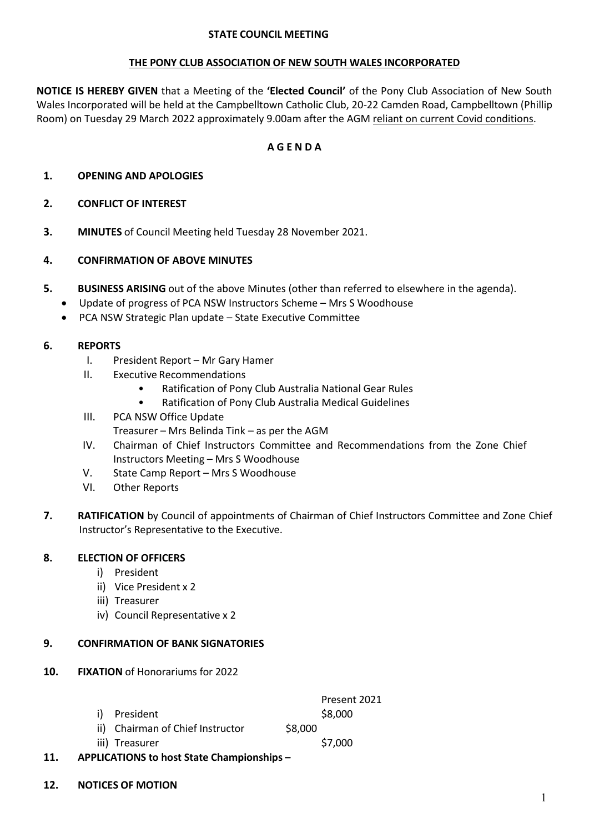#### **STATE COUNCIL MEETING**

#### **THE PONY CLUB ASSOCIATION OF NEW SOUTH WALES INCORPORATED**

**NOTICE IS HEREBY GIVEN** that a Meeting of the **'Elected Council'** of the Pony Club Association of New South Wales Incorporated will be held at the Campbelltown Catholic Club, 20-22 Camden Road, Campbelltown (Phillip Room) on Tuesday 29 March 2022 approximately 9.00am after the AGM reliant on current Covid conditions.

## **A G E N D A**

- **1. OPENING AND APOLOGIES**
- **2. CONFLICT OF INTEREST**
- **3. MINUTES** of Council Meeting held Tuesday 28 November 2021.

# **4. CONFIRMATION OF ABOVE MINUTES**

- **5. BUSINESS ARISING** out of the above Minutes (other than referred to elsewhere in the agenda).
	- Update of progress of PCA NSW Instructors Scheme Mrs S Woodhouse
	- PCA NSW Strategic Plan update State Executive Committee

# **6. REPORTS**

- I. President Report Mr Gary Hamer
- II. Executive Recommendations
	- Ratification of Pony Club Australia National Gear Rules
	- Ratification of Pony Club Australia Medical Guidelines
- III. PCA NSW Office Update
	- Treasurer Mrs Belinda Tink as per the AGM
- IV. Chairman of Chief Instructors Committee and Recommendations from the Zone Chief Instructors Meeting – Mrs S Woodhouse
- V. State Camp Report Mrs S Woodhouse
- VI. Other Reports
- **7. RATIFICATION** by Council of appointments of Chairman of Chief Instructors Committee and Zone Chief Instructor's Representative to the Executive.

## **8. ELECTION OF OFFICERS**

- i) President
- ii) Vice President x 2
- iii) Treasurer
- iv) Council Representative x 2

## **9. CONFIRMATION OF BANK SIGNATORIES**

- **10. FIXATION** of Honorariums for 2022
- Present 2021
- i) President \$8,000
- ii) Chairman of Chief Instructor \$8,000
- iii) Treasurer \$7,000
- **11. APPLICATIONS to host State Championships –**
- **12. NOTICES OF MOTION**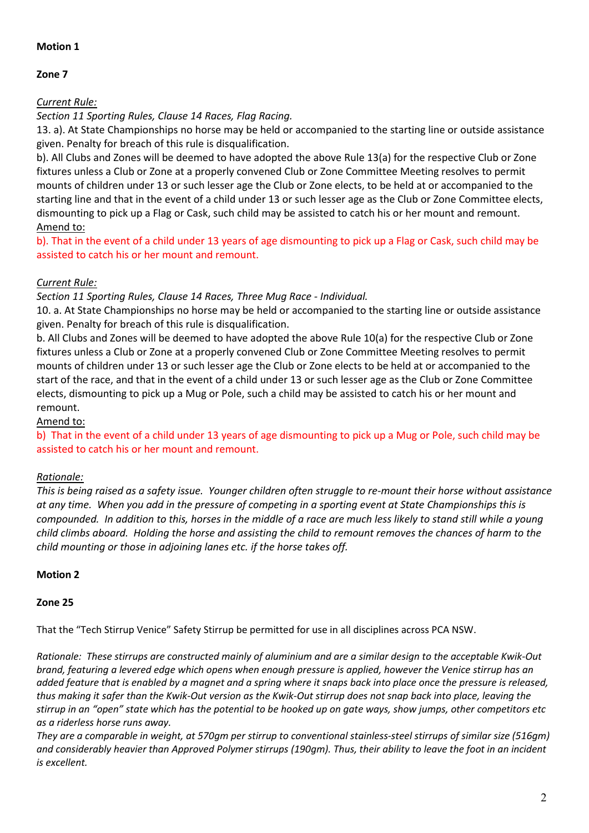# **Motion 1**

## **Zone 7**

# *Current Rule:*

*Section 11 Sporting Rules, Clause 14 Races, Flag Racing.*

13. a). At State Championships no horse may be held or accompanied to the starting line or outside assistance given. Penalty for breach of this rule is disqualification.

b). All Clubs and Zones will be deemed to have adopted the above Rule 13(a) for the respective Club or Zone fixtures unless a Club or Zone at a properly convened Club or Zone Committee Meeting resolves to permit mounts of children under 13 or such lesser age the Club or Zone elects, to be held at or accompanied to the starting line and that in the event of a child under 13 or such lesser age as the Club or Zone Committee elects, dismounting to pick up a Flag or Cask, such child may be assisted to catch his or her mount and remount. Amend to:

b). That in the event of a child under 13 years of age dismounting to pick up a Flag or Cask, such child may be assisted to catch his or her mount and remount.

# *Current Rule:*

*Section 11 Sporting Rules, Clause 14 Races, Three Mug Race - Individual.*

10. a. At State Championships no horse may be held or accompanied to the starting line or outside assistance given. Penalty for breach of this rule is disqualification.

b. All Clubs and Zones will be deemed to have adopted the above Rule 10(a) for the respective Club or Zone fixtures unless a Club or Zone at a properly convened Club or Zone Committee Meeting resolves to permit mounts of children under 13 or such lesser age the Club or Zone elects to be held at or accompanied to the start of the race, and that in the event of a child under 13 or such lesser age as the Club or Zone Committee elects, dismounting to pick up a Mug or Pole, such a child may be assisted to catch his or her mount and remount.

## Amend to:

b) That in the event of a child under 13 years of age dismounting to pick up a Mug or Pole, such child may be assisted to catch his or her mount and remount.

## *Rationale:*

*This is being raised as a safety issue. Younger children often struggle to re-mount their horse without assistance at any time. When you add in the pressure of competing in a sporting event at State Championships this is compounded. In addition to this, horses in the middle of a race are much less likely to stand still while a young child climbs aboard. Holding the horse and assisting the child to remount removes the chances of harm to the child mounting or those in adjoining lanes etc. if the horse takes off.*

## **Motion 2**

## **Zone 25**

That the "Tech Stirrup Venice" Safety Stirrup be permitted for use in all disciplines across PCA NSW.

*Rationale: These stirrups are constructed mainly of aluminium and are a similar design to the acceptable Kwik-Out brand, featuring a levered edge which opens when enough pressure is applied, however the Venice stirrup has an added feature that is enabled by a magnet and a spring where it snaps back into place once the pressure is released, thus making it safer than the Kwik-Out version as the Kwik-Out stirrup does not snap back into place, leaving the stirrup in an "open" state which has the potential to be hooked up on gate ways, show jumps, other competitors etc as a riderless horse runs away.*

*They are a comparable in weight, at 570gm per stirrup to conventional stainless-steel stirrups of similar size (516gm) and considerably heavier than Approved Polymer stirrups (190gm). Thus, their ability to leave the foot in an incident is excellent.*